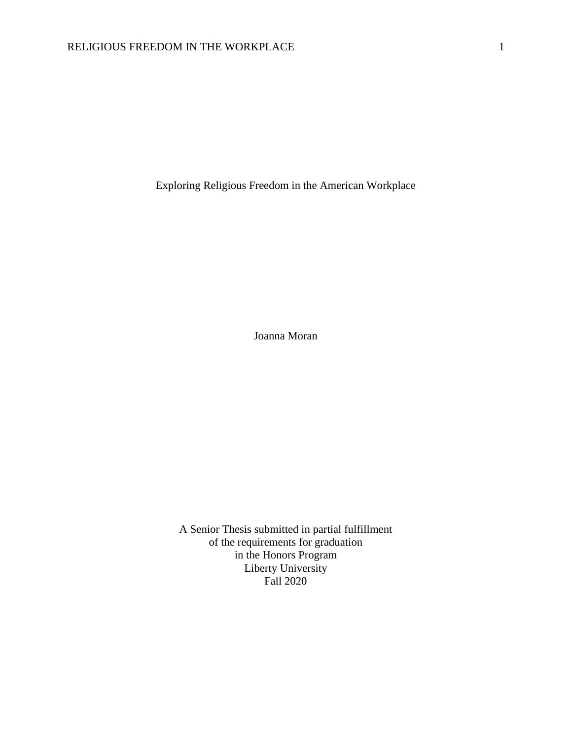Exploring Religious Freedom in the American Workplace

Joanna Moran

A Senior Thesis submitted in partial fulfillment of the requirements for graduation in the Honors Program Liberty University Fall 2020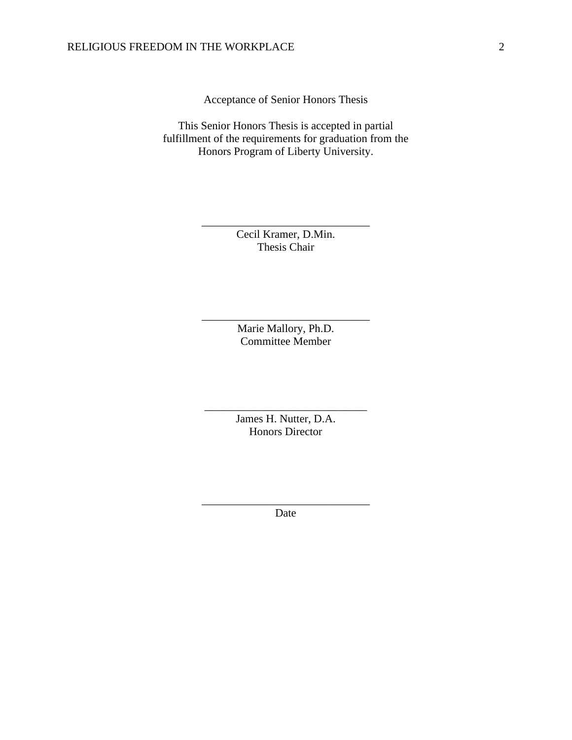Acceptance of Senior Honors Thesis

This Senior Honors Thesis is accepted in partial fulfillment of the requirements for graduation from the Honors Program of Liberty University.

> Cecil Kramer, D.Min. Thesis Chair

\_\_\_\_\_\_\_\_\_\_\_\_\_\_\_\_\_\_\_\_\_\_\_\_\_\_\_\_\_\_

Marie Mallory, Ph.D. Committee Member

\_\_\_\_\_\_\_\_\_\_\_\_\_\_\_\_\_\_\_\_\_\_\_\_\_\_\_\_\_\_

James H. Nutter, D.A. Honors Director

\_\_\_\_\_\_\_\_\_\_\_\_\_\_\_\_\_\_\_\_\_\_\_\_\_\_\_\_\_

\_\_\_\_\_\_\_\_\_\_\_\_\_\_\_\_\_\_\_\_\_\_\_\_\_\_\_\_\_\_ Date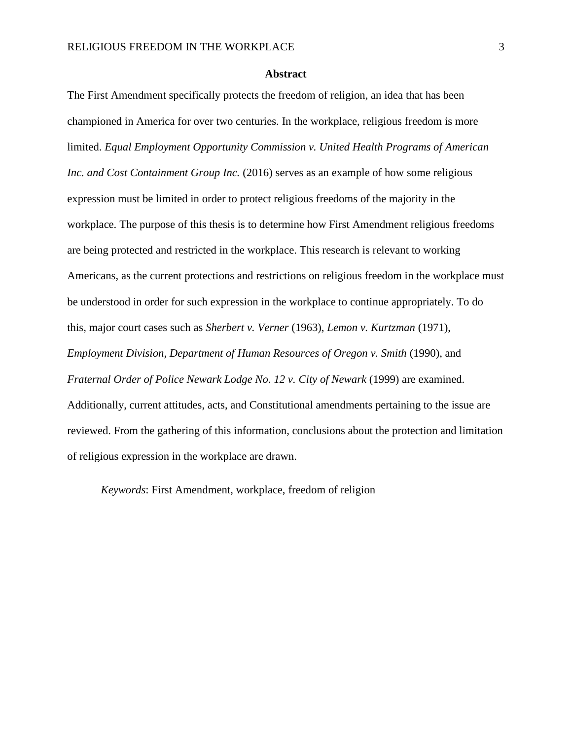#### **Abstract**

The First Amendment specifically protects the freedom of religion, an idea that has been championed in America for over two centuries. In the workplace, religious freedom is more limited. *Equal Employment Opportunity Commission v. United Health Programs of American Inc. and Cost Containment Group Inc.* (2016) serves as an example of how some religious expression must be limited in order to protect religious freedoms of the majority in the workplace. The purpose of this thesis is to determine how First Amendment religious freedoms are being protected and restricted in the workplace. This research is relevant to working Americans, as the current protections and restrictions on religious freedom in the workplace must be understood in order for such expression in the workplace to continue appropriately. To do this, major court cases such as *Sherbert v. Verner* (1963), *Lemon v. Kurtzman* (1971), *Employment Division, Department of Human Resources of Oregon v. Smith* (1990), and *Fraternal Order of Police Newark Lodge No. 12 v. City of Newark* (1999) are examined. Additionally, current attitudes, acts, and Constitutional amendments pertaining to the issue are reviewed. From the gathering of this information, conclusions about the protection and limitation of religious expression in the workplace are drawn.

*Keywords*: First Amendment, workplace, freedom of religion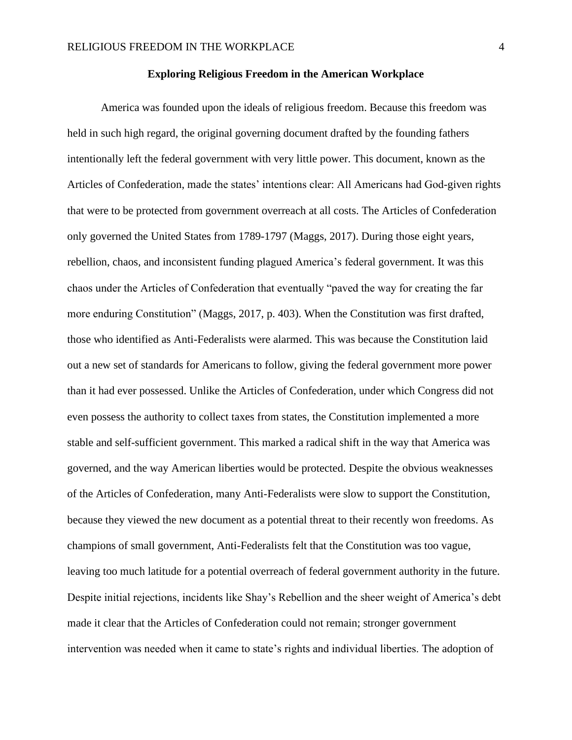### **Exploring Religious Freedom in the American Workplace**

America was founded upon the ideals of religious freedom. Because this freedom was held in such high regard, the original governing document drafted by the founding fathers intentionally left the federal government with very little power. This document, known as the Articles of Confederation, made the states' intentions clear: All Americans had God-given rights that were to be protected from government overreach at all costs. The Articles of Confederation only governed the United States from 1789-1797 (Maggs, 2017). During those eight years, rebellion, chaos, and inconsistent funding plagued America's federal government. It was this chaos under the Articles of Confederation that eventually "paved the way for creating the far more enduring Constitution" (Maggs, 2017, p. 403). When the Constitution was first drafted, those who identified as Anti-Federalists were alarmed. This was because the Constitution laid out a new set of standards for Americans to follow, giving the federal government more power than it had ever possessed. Unlike the Articles of Confederation, under which Congress did not even possess the authority to collect taxes from states, the Constitution implemented a more stable and self-sufficient government. This marked a radical shift in the way that America was governed, and the way American liberties would be protected. Despite the obvious weaknesses of the Articles of Confederation, many Anti-Federalists were slow to support the Constitution, because they viewed the new document as a potential threat to their recently won freedoms. As champions of small government, Anti-Federalists felt that the Constitution was too vague, leaving too much latitude for a potential overreach of federal government authority in the future. Despite initial rejections, incidents like Shay's Rebellion and the sheer weight of America's debt made it clear that the Articles of Confederation could not remain; stronger government intervention was needed when it came to state's rights and individual liberties. The adoption of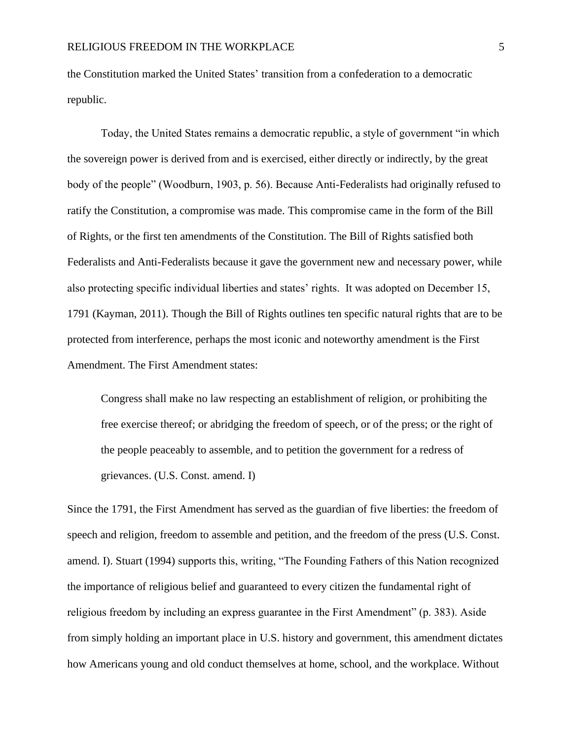the Constitution marked the United States' transition from a confederation to a democratic republic.

Today, the United States remains a democratic republic, a style of government "in which the sovereign power is derived from and is exercised, either directly or indirectly, by the great body of the people" (Woodburn, 1903, p. 56). Because Anti-Federalists had originally refused to ratify the Constitution, a compromise was made. This compromise came in the form of the Bill of Rights, or the first ten amendments of the Constitution. The Bill of Rights satisfied both Federalists and Anti-Federalists because it gave the government new and necessary power, while also protecting specific individual liberties and states' rights. It was adopted on December 15, 1791 (Kayman, 2011). Though the Bill of Rights outlines ten specific natural rights that are to be protected from interference, perhaps the most iconic and noteworthy amendment is the First Amendment. The First Amendment states:

Congress shall make no law respecting an establishment of religion, or prohibiting the free exercise thereof; or abridging the freedom of speech, or of the press; or the right of the people peaceably to assemble, and to petition the government for a redress of grievances. (U.S. Const. amend. I)

Since the 1791, the First Amendment has served as the guardian of five liberties: the freedom of speech and religion, freedom to assemble and petition, and the freedom of the press (U.S. Const. amend. I). Stuart (1994) supports this, writing, "The Founding Fathers of this Nation recognized the importance of religious belief and guaranteed to every citizen the fundamental right of religious freedom by including an express guarantee in the First Amendment" (p. 383). Aside from simply holding an important place in U.S. history and government, this amendment dictates how Americans young and old conduct themselves at home, school, and the workplace. Without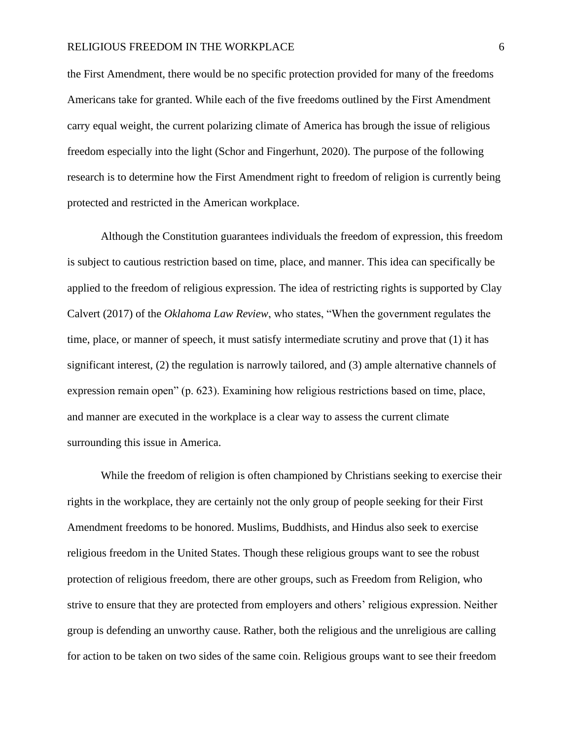## RELIGIOUS FREEDOM IN THE WORKPLACE 6

the First Amendment, there would be no specific protection provided for many of the freedoms Americans take for granted. While each of the five freedoms outlined by the First Amendment carry equal weight, the current polarizing climate of America has brough the issue of religious freedom especially into the light (Schor and Fingerhunt, 2020). The purpose of the following research is to determine how the First Amendment right to freedom of religion is currently being protected and restricted in the American workplace.

Although the Constitution guarantees individuals the freedom of expression, this freedom is subject to cautious restriction based on time, place, and manner. This idea can specifically be applied to the freedom of religious expression. The idea of restricting rights is supported by Clay Calvert (2017) of the *Oklahoma Law Review*, who states, "When the government regulates the time, place, or manner of speech, it must satisfy intermediate scrutiny and prove that (1) it has significant interest, (2) the regulation is narrowly tailored, and (3) ample alternative channels of expression remain open" (p. 623). Examining how religious restrictions based on time, place, and manner are executed in the workplace is a clear way to assess the current climate surrounding this issue in America.

While the freedom of religion is often championed by Christians seeking to exercise their rights in the workplace, they are certainly not the only group of people seeking for their First Amendment freedoms to be honored. Muslims, Buddhists, and Hindus also seek to exercise religious freedom in the United States. Though these religious groups want to see the robust protection of religious freedom, there are other groups, such as Freedom from Religion, who strive to ensure that they are protected from employers and others' religious expression. Neither group is defending an unworthy cause. Rather, both the religious and the unreligious are calling for action to be taken on two sides of the same coin. Religious groups want to see their freedom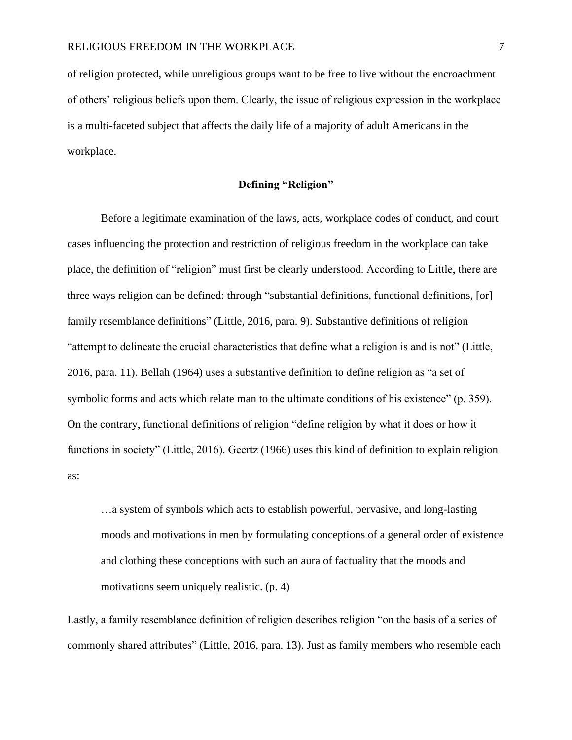of religion protected, while unreligious groups want to be free to live without the encroachment of others' religious beliefs upon them. Clearly, the issue of religious expression in the workplace is a multi-faceted subject that affects the daily life of a majority of adult Americans in the workplace.

# **Defining "Religion"**

Before a legitimate examination of the laws, acts, workplace codes of conduct, and court cases influencing the protection and restriction of religious freedom in the workplace can take place, the definition of "religion" must first be clearly understood. According to Little, there are three ways religion can be defined: through "substantial definitions, functional definitions, [or] family resemblance definitions" (Little, 2016, para. 9). Substantive definitions of religion "attempt to delineate the crucial characteristics that define what a religion is and is not" (Little, 2016, para. 11). Bellah (1964) uses a substantive definition to define religion as "a set of symbolic forms and acts which relate man to the ultimate conditions of his existence" (p. 359). On the contrary, functional definitions of religion "define religion by what it does or how it functions in society" (Little, 2016). Geertz (1966) uses this kind of definition to explain religion as:

…a system of symbols which acts to establish powerful, pervasive, and long-lasting moods and motivations in men by formulating conceptions of a general order of existence and clothing these conceptions with such an aura of factuality that the moods and motivations seem uniquely realistic. (p. 4)

Lastly, a family resemblance definition of religion describes religion "on the basis of a series of commonly shared attributes" (Little, 2016, para. 13). Just as family members who resemble each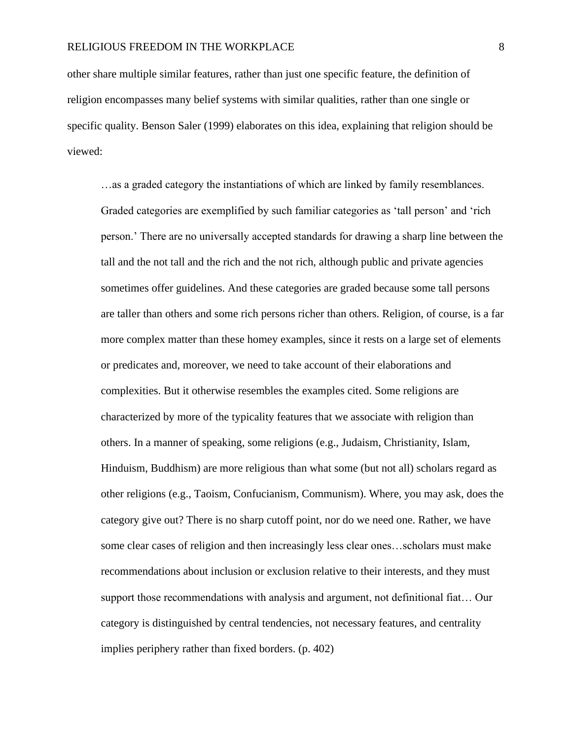other share multiple similar features, rather than just one specific feature, the definition of religion encompasses many belief systems with similar qualities, rather than one single or specific quality. Benson Saler (1999) elaborates on this idea, explaining that religion should be viewed:

…as a graded category the instantiations of which are linked by family resemblances. Graded categories are exemplified by such familiar categories as 'tall person' and 'rich person.' There are no universally accepted standards for drawing a sharp line between the tall and the not tall and the rich and the not rich, although public and private agencies sometimes offer guidelines. And these categories are graded because some tall persons are taller than others and some rich persons richer than others. Religion, of course, is a far more complex matter than these homey examples, since it rests on a large set of elements or predicates and, moreover, we need to take account of their elaborations and complexities. But it otherwise resembles the examples cited. Some religions are characterized by more of the typicality features that we associate with religion than others. In a manner of speaking, some religions (e.g., Judaism, Christianity, Islam, Hinduism, Buddhism) are more religious than what some (but not all) scholars regard as other religions (e.g., Taoism, Confucianism, Communism). Where, you may ask, does the category give out? There is no sharp cutoff point, nor do we need one. Rather, we have some clear cases of religion and then increasingly less clear ones…scholars must make recommendations about inclusion or exclusion relative to their interests, and they must support those recommendations with analysis and argument, not definitional fiat… Our category is distinguished by central tendencies, not necessary features, and centrality implies periphery rather than fixed borders. (p. 402)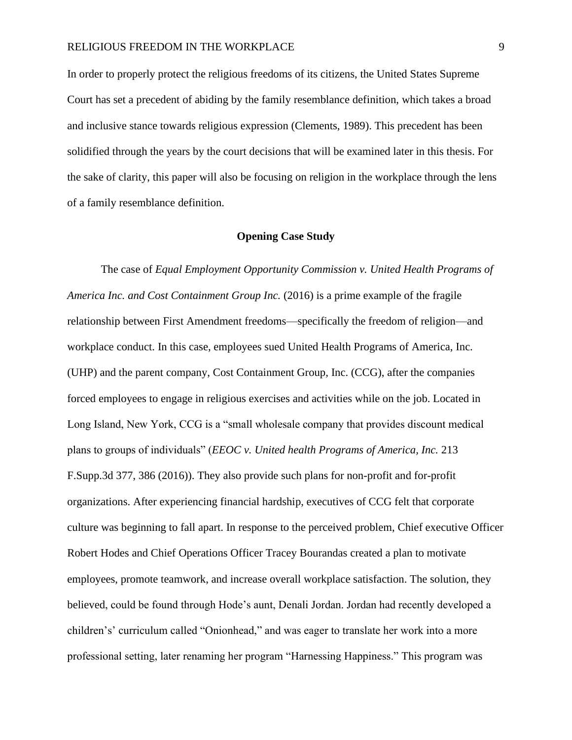In order to properly protect the religious freedoms of its citizens, the United States Supreme Court has set a precedent of abiding by the family resemblance definition, which takes a broad and inclusive stance towards religious expression (Clements, 1989). This precedent has been solidified through the years by the court decisions that will be examined later in this thesis. For the sake of clarity, this paper will also be focusing on religion in the workplace through the lens of a family resemblance definition.

### **Opening Case Study**

The case of *Equal Employment Opportunity Commission v. United Health Programs of America Inc. and Cost Containment Group Inc.* (2016) is a prime example of the fragile relationship between First Amendment freedoms—specifically the freedom of religion—and workplace conduct. In this case, employees sued United Health Programs of America, Inc. (UHP) and the parent company, Cost Containment Group, Inc. (CCG), after the companies forced employees to engage in religious exercises and activities while on the job. Located in Long Island, New York, CCG is a "small wholesale company that provides discount medical plans to groups of individuals" (*EEOC v. United health Programs of America, Inc.* 213 F.Supp.3d 377, 386 (2016)). They also provide such plans for non-profit and for-profit organizations. After experiencing financial hardship, executives of CCG felt that corporate culture was beginning to fall apart. In response to the perceived problem, Chief executive Officer Robert Hodes and Chief Operations Officer Tracey Bourandas created a plan to motivate employees, promote teamwork, and increase overall workplace satisfaction. The solution, they believed, could be found through Hode's aunt, Denali Jordan. Jordan had recently developed a children's' curriculum called "Onionhead," and was eager to translate her work into a more professional setting, later renaming her program "Harnessing Happiness." This program was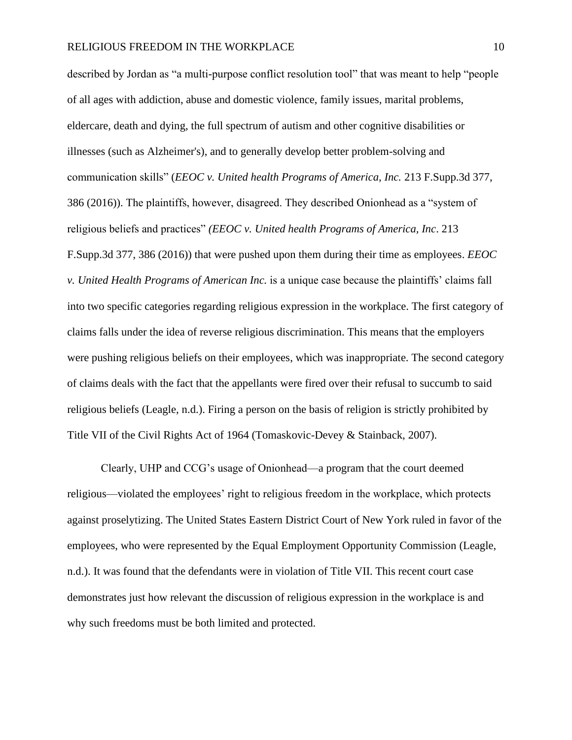described by Jordan as "a multi-purpose conflict resolution tool" that was meant to help "people of all ages with addiction, abuse and domestic violence, family issues, marital problems, eldercare, death and dying, the full spectrum of autism and other cognitive disabilities or illnesses (such as Alzheimer's), and to generally develop better problem-solving and communication skills" (*EEOC v. United health Programs of America, Inc.* 213 F.Supp.3d 377, 386 (2016)). The plaintiffs, however, disagreed. They described Onionhead as a "system of religious beliefs and practices" *(EEOC v. United health Programs of America, Inc*. 213 F.Supp.3d 377, 386 (2016)) that were pushed upon them during their time as employees. *EEOC v. United Health Programs of American Inc.* is a unique case because the plaintiffs' claims fall into two specific categories regarding religious expression in the workplace. The first category of claims falls under the idea of reverse religious discrimination. This means that the employers were pushing religious beliefs on their employees, which was inappropriate. The second category of claims deals with the fact that the appellants were fired over their refusal to succumb to said religious beliefs (Leagle, n.d.). Firing a person on the basis of religion is strictly prohibited by Title VII of the Civil Rights Act of 1964 (Tomaskovic-Devey & Stainback, 2007).

Clearly, UHP and CCG's usage of Onionhead—a program that the court deemed religious—violated the employees' right to religious freedom in the workplace, which protects against proselytizing. The United States Eastern District Court of New York ruled in favor of the employees, who were represented by the Equal Employment Opportunity Commission (Leagle, n.d.). It was found that the defendants were in violation of Title VII. This recent court case demonstrates just how relevant the discussion of religious expression in the workplace is and why such freedoms must be both limited and protected.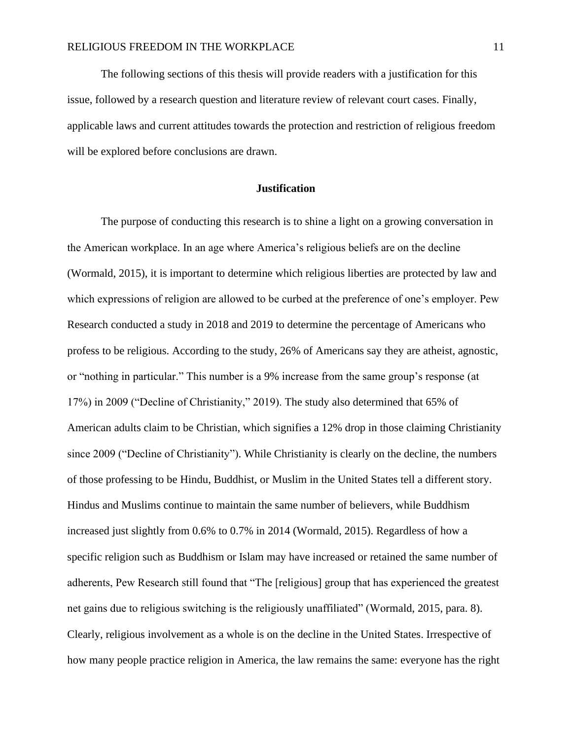The following sections of this thesis will provide readers with a justification for this issue, followed by a research question and literature review of relevant court cases. Finally, applicable laws and current attitudes towards the protection and restriction of religious freedom will be explored before conclusions are drawn.

# **Justification**

The purpose of conducting this research is to shine a light on a growing conversation in the American workplace. In an age where America's religious beliefs are on the decline (Wormald, 2015), it is important to determine which religious liberties are protected by law and which expressions of religion are allowed to be curbed at the preference of one's employer. Pew Research conducted a study in 2018 and 2019 to determine the percentage of Americans who profess to be religious. According to the study, 26% of Americans say they are atheist, agnostic, or "nothing in particular." This number is a 9% increase from the same group's response (at 17%) in 2009 ("Decline of Christianity," 2019). The study also determined that 65% of American adults claim to be Christian, which signifies a 12% drop in those claiming Christianity since 2009 ("Decline of Christianity"). While Christianity is clearly on the decline, the numbers of those professing to be Hindu, Buddhist, or Muslim in the United States tell a different story. Hindus and Muslims continue to maintain the same number of believers, while Buddhism increased just slightly from 0.6% to 0.7% in 2014 (Wormald, 2015). Regardless of how a specific religion such as Buddhism or Islam may have increased or retained the same number of adherents, Pew Research still found that "The [religious] group that has experienced the greatest net gains due to religious switching is the religiously unaffiliated" (Wormald, 2015, para. 8). Clearly, religious involvement as a whole is on the decline in the United States. Irrespective of how many people practice religion in America, the law remains the same: everyone has the right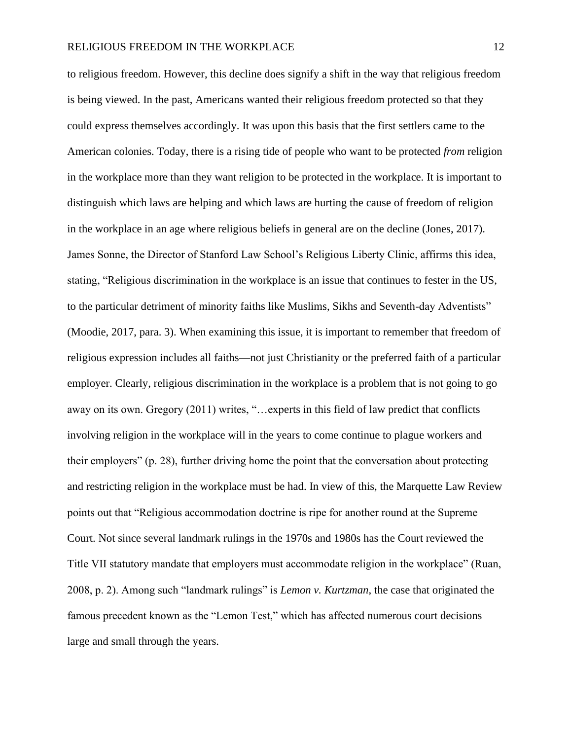to religious freedom. However, this decline does signify a shift in the way that religious freedom is being viewed. In the past, Americans wanted their religious freedom protected so that they could express themselves accordingly. It was upon this basis that the first settlers came to the American colonies. Today, there is a rising tide of people who want to be protected *from* religion in the workplace more than they want religion to be protected in the workplace. It is important to distinguish which laws are helping and which laws are hurting the cause of freedom of religion in the workplace in an age where religious beliefs in general are on the decline (Jones, 2017). James Sonne, the Director of Stanford Law School's Religious Liberty Clinic, affirms this idea, stating, "Religious discrimination in the workplace is an issue that continues to fester in the US, to the particular detriment of minority faiths like Muslims, Sikhs and Seventh-day Adventists" (Moodie, 2017, para. 3). When examining this issue, it is important to remember that freedom of religious expression includes all faiths—not just Christianity or the preferred faith of a particular employer. Clearly, religious discrimination in the workplace is a problem that is not going to go away on its own. Gregory (2011) writes, "…experts in this field of law predict that conflicts involving religion in the workplace will in the years to come continue to plague workers and their employers" (p. 28), further driving home the point that the conversation about protecting and restricting religion in the workplace must be had. In view of this, the Marquette Law Review points out that "Religious accommodation doctrine is ripe for another round at the Supreme Court. Not since several landmark rulings in the 1970s and 1980s has the Court reviewed the Title VII statutory mandate that employers must accommodate religion in the workplace" (Ruan, 2008, p. 2). Among such "landmark rulings" is *Lemon v. Kurtzman*, the case that originated the famous precedent known as the "Lemon Test," which has affected numerous court decisions large and small through the years.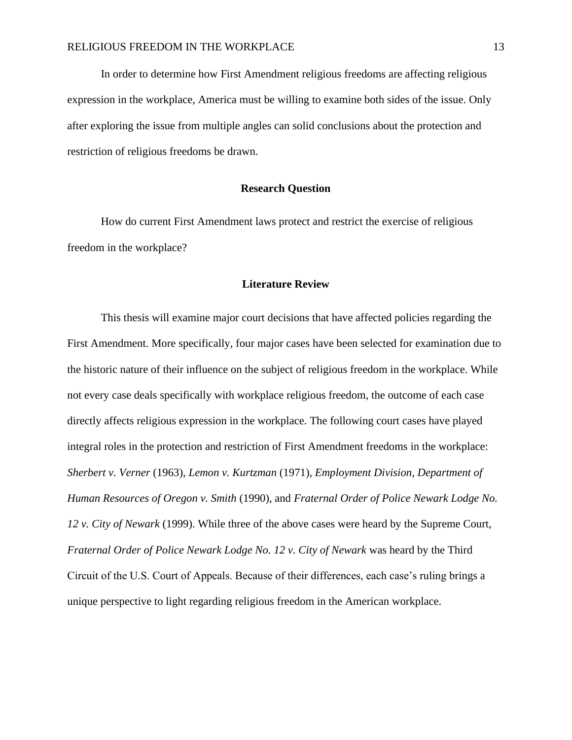In order to determine how First Amendment religious freedoms are affecting religious expression in the workplace, America must be willing to examine both sides of the issue. Only after exploring the issue from multiple angles can solid conclusions about the protection and restriction of religious freedoms be drawn.

### **Research Question**

How do current First Amendment laws protect and restrict the exercise of religious freedom in the workplace?

#### **Literature Review**

This thesis will examine major court decisions that have affected policies regarding the First Amendment. More specifically, four major cases have been selected for examination due to the historic nature of their influence on the subject of religious freedom in the workplace. While not every case deals specifically with workplace religious freedom, the outcome of each case directly affects religious expression in the workplace. The following court cases have played integral roles in the protection and restriction of First Amendment freedoms in the workplace: *Sherbert v. Verner* (1963), *Lemon v. Kurtzman* (1971), *Employment Division, Department of Human Resources of Oregon v. Smith* (1990), and *Fraternal Order of Police Newark Lodge No. 12 v. City of Newark* (1999). While three of the above cases were heard by the Supreme Court, *Fraternal Order of Police Newark Lodge No. 12 v. City of Newark* was heard by the Third Circuit of the U.S. Court of Appeals. Because of their differences, each case's ruling brings a unique perspective to light regarding religious freedom in the American workplace.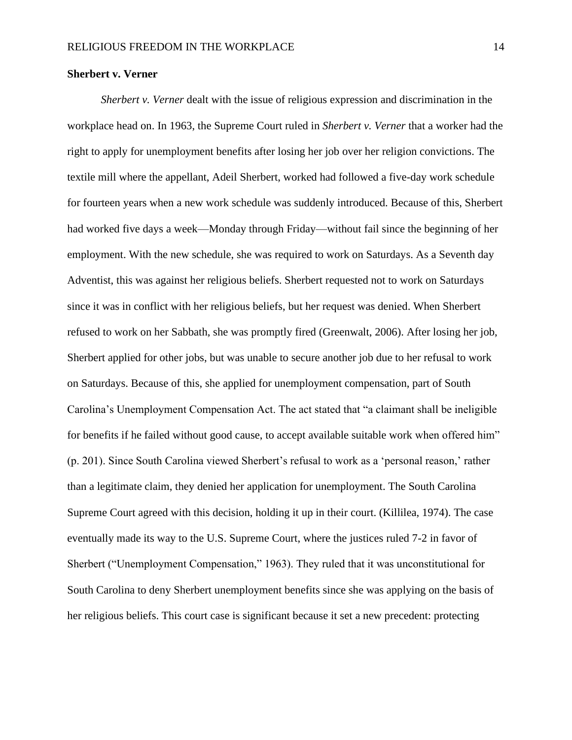### **Sherbert v. Verner**

*Sherbert v. Verner* dealt with the issue of religious expression and discrimination in the workplace head on. In 1963, the Supreme Court ruled in *Sherbert v. Verner* that a worker had the right to apply for unemployment benefits after losing her job over her religion convictions. The textile mill where the appellant, Adeil Sherbert, worked had followed a five-day work schedule for fourteen years when a new work schedule was suddenly introduced. Because of this, Sherbert had worked five days a week—Monday through Friday—without fail since the beginning of her employment. With the new schedule, she was required to work on Saturdays. As a Seventh day Adventist, this was against her religious beliefs. Sherbert requested not to work on Saturdays since it was in conflict with her religious beliefs, but her request was denied. When Sherbert refused to work on her Sabbath, she was promptly fired (Greenwalt, 2006). After losing her job, Sherbert applied for other jobs, but was unable to secure another job due to her refusal to work on Saturdays. Because of this, she applied for unemployment compensation, part of South Carolina's Unemployment Compensation Act. The act stated that "a claimant shall be ineligible for benefits if he failed without good cause, to accept available suitable work when offered him" (p. 201). Since South Carolina viewed Sherbert's refusal to work as a 'personal reason,' rather than a legitimate claim, they denied her application for unemployment. The South Carolina Supreme Court agreed with this decision, holding it up in their court. (Killilea, 1974). The case eventually made its way to the U.S. Supreme Court, where the justices ruled 7-2 in favor of Sherbert ("Unemployment Compensation," 1963). They ruled that it was unconstitutional for South Carolina to deny Sherbert unemployment benefits since she was applying on the basis of her religious beliefs. This court case is significant because it set a new precedent: protecting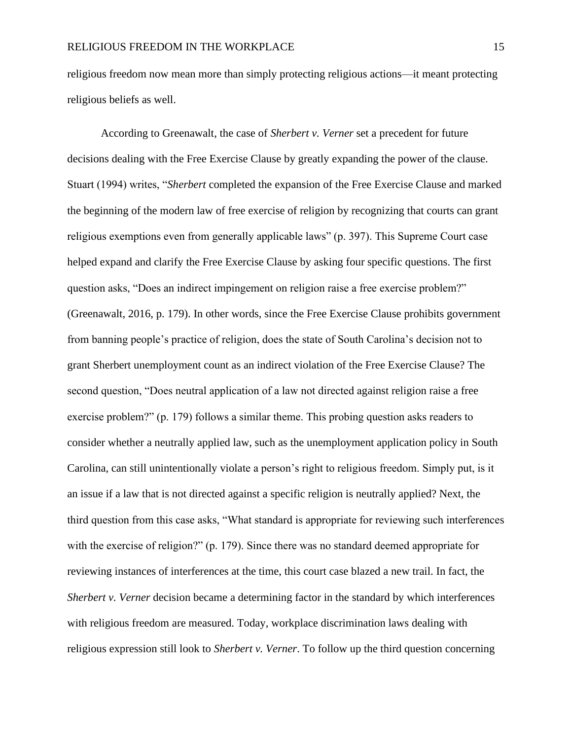religious freedom now mean more than simply protecting religious actions—it meant protecting religious beliefs as well.

According to Greenawalt, the case of *Sherbert v. Verner* set a precedent for future decisions dealing with the Free Exercise Clause by greatly expanding the power of the clause. Stuart (1994) writes, "*Sherbert* completed the expansion of the Free Exercise Clause and marked the beginning of the modern law of free exercise of religion by recognizing that courts can grant religious exemptions even from generally applicable laws" (p. 397). This Supreme Court case helped expand and clarify the Free Exercise Clause by asking four specific questions. The first question asks, "Does an indirect impingement on religion raise a free exercise problem?" (Greenawalt, 2016, p. 179). In other words, since the Free Exercise Clause prohibits government from banning people's practice of religion, does the state of South Carolina's decision not to grant Sherbert unemployment count as an indirect violation of the Free Exercise Clause? The second question, "Does neutral application of a law not directed against religion raise a free exercise problem?" (p. 179) follows a similar theme. This probing question asks readers to consider whether a neutrally applied law, such as the unemployment application policy in South Carolina, can still unintentionally violate a person's right to religious freedom. Simply put, is it an issue if a law that is not directed against a specific religion is neutrally applied? Next, the third question from this case asks, "What standard is appropriate for reviewing such interferences with the exercise of religion?" (p. 179). Since there was no standard deemed appropriate for reviewing instances of interferences at the time, this court case blazed a new trail. In fact, the *Sherbert v. Verner* decision became a determining factor in the standard by which interferences with religious freedom are measured. Today, workplace discrimination laws dealing with religious expression still look to *Sherbert v. Verner*. To follow up the third question concerning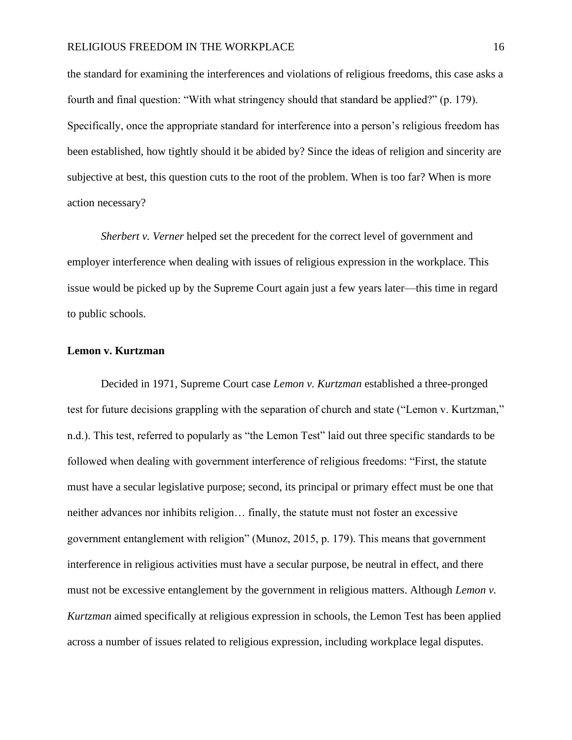# RELIGIOUS FREEDOM IN THE WORKPLACE 16

the standard for examining the interferences and violations of religious freedoms, this case asks a fourth and final question: "With what stringency should that standard be applied?" (p. 179). Specifically, once the appropriate standard for interference into a person's religious freedom has been established, how tightly should it be abided by? Since the ideas of religion and sincerity are subjective at best, this question cuts to the root of the problem. When is too far? When is more action necessary?

*Sherbert v. Verner* helped set the precedent for the correct level of government and employer interference when dealing with issues of religious expression in the workplace. This issue would be picked up by the Supreme Court again just a few years later—this time in regard to public schools.

# **Lemon v. Kurtzman**

Decided in 1971, Supreme Court case *Lemon v. Kurtzman* established a three-pronged test for future decisions grappling with the separation of church and state ("Lemon v. Kurtzman," n.d.). This test, referred to popularly as "the Lemon Test" laid out three specific standards to be followed when dealing with government interference of religious freedoms: "First, the statute must have a secular legislative purpose; second, its principal or primary effect must be one that neither advances nor inhibits religion… finally, the statute must not foster an excessive government entanglement with religion" (Munoz, 2015, p. 179). This means that government interference in religious activities must have a secular purpose, be neutral in effect, and there must not be excessive entanglement by the government in religious matters. Although *Lemon v. Kurtzman* aimed specifically at religious expression in schools, the Lemon Test has been applied across a number of issues related to religious expression, including workplace legal disputes.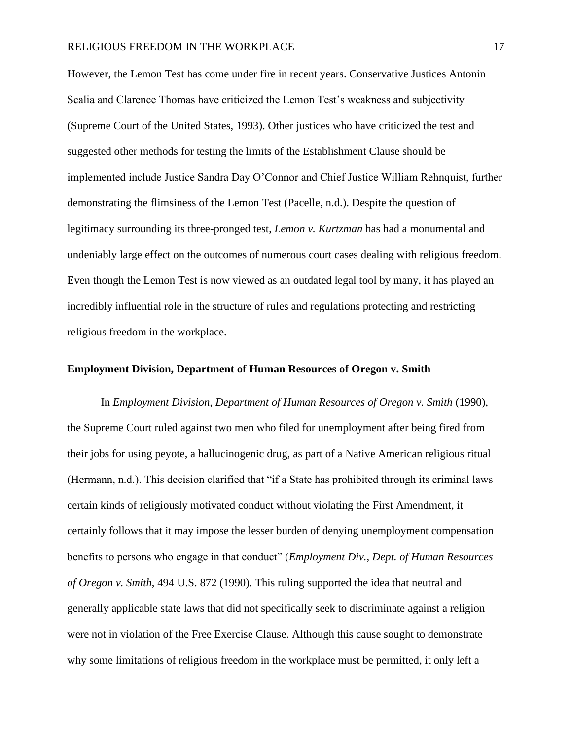However, the Lemon Test has come under fire in recent years. Conservative Justices Antonin Scalia and Clarence Thomas have criticized the Lemon Test's weakness and subjectivity (Supreme Court of the United States, 1993). Other justices who have criticized the test and suggested other methods for testing the limits of the Establishment Clause should be implemented include Justice Sandra Day O'Connor and Chief Justice William Rehnquist, further demonstrating the flimsiness of the Lemon Test (Pacelle, n.d.). Despite the question of legitimacy surrounding its three-pronged test, *Lemon v. Kurtzman* has had a monumental and undeniably large effect on the outcomes of numerous court cases dealing with religious freedom. Even though the Lemon Test is now viewed as an outdated legal tool by many, it has played an incredibly influential role in the structure of rules and regulations protecting and restricting religious freedom in the workplace.

# **Employment Division, Department of Human Resources of Oregon v. Smith**

In *Employment Division, Department of Human Resources of Oregon v. Smith* (1990), the Supreme Court ruled against two men who filed for unemployment after being fired from their jobs for using peyote, a hallucinogenic drug, as part of a Native American religious ritual (Hermann, n.d.). This decision clarified that "if a State has prohibited through its criminal laws certain kinds of religiously motivated conduct without violating the First Amendment, it certainly follows that it may impose the lesser burden of denying unemployment compensation benefits to persons who engage in that conduct" (*Employment Div., Dept. of Human Resources of Oregon v. Smith*, 494 U.S. 872 (1990). This ruling supported the idea that neutral and generally applicable state laws that did not specifically seek to discriminate against a religion were not in violation of the Free Exercise Clause. Although this cause sought to demonstrate why some limitations of religious freedom in the workplace must be permitted, it only left a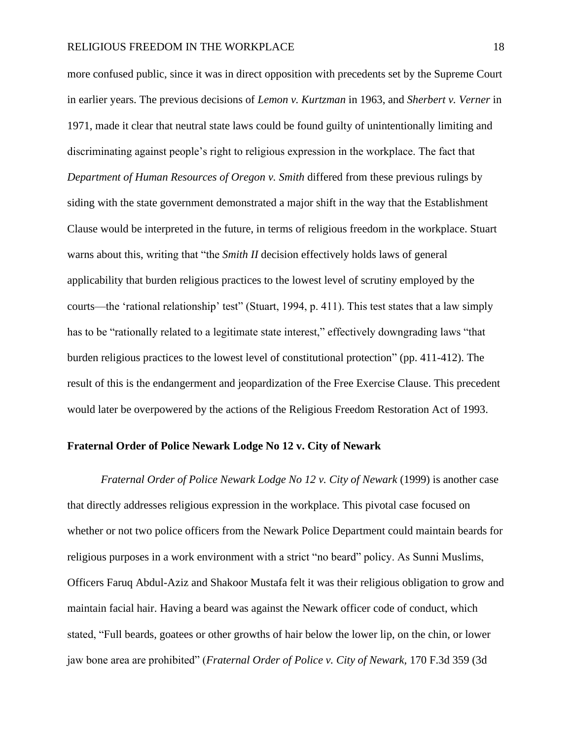more confused public, since it was in direct opposition with precedents set by the Supreme Court in earlier years. The previous decisions of *Lemon v. Kurtzman* in 1963, and *Sherbert v. Verner* in 1971, made it clear that neutral state laws could be found guilty of unintentionally limiting and discriminating against people's right to religious expression in the workplace. The fact that *Department of Human Resources of Oregon v. Smith* differed from these previous rulings by siding with the state government demonstrated a major shift in the way that the Establishment Clause would be interpreted in the future, in terms of religious freedom in the workplace. Stuart warns about this, writing that "the *Smith II* decision effectively holds laws of general applicability that burden religious practices to the lowest level of scrutiny employed by the courts—the 'rational relationship' test" (Stuart, 1994, p. 411). This test states that a law simply has to be "rationally related to a legitimate state interest," effectively downgrading laws "that burden religious practices to the lowest level of constitutional protection" (pp. 411-412). The result of this is the endangerment and jeopardization of the Free Exercise Clause. This precedent would later be overpowered by the actions of the Religious Freedom Restoration Act of 1993.

#### **Fraternal Order of Police Newark Lodge No 12 v. City of Newark**

*Fraternal Order of Police Newark Lodge No 12 v. City of Newark* (1999) is another case that directly addresses religious expression in the workplace. This pivotal case focused on whether or not two police officers from the Newark Police Department could maintain beards for religious purposes in a work environment with a strict "no beard" policy. As Sunni Muslims, Officers Faruq Abdul-Aziz and Shakoor Mustafa felt it was their religious obligation to grow and maintain facial hair. Having a beard was against the Newark officer code of conduct, which stated, "Full beards, goatees or other growths of hair below the lower lip, on the chin, or lower jaw bone area are prohibited" (*Fraternal Order of Police v. City of Newark,* 170 F.3d 359 (3d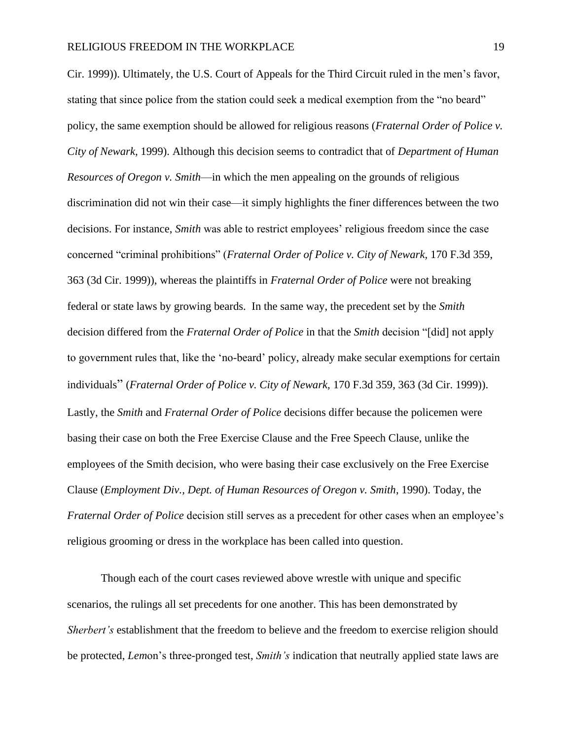Cir. 1999)). Ultimately, the U.S. Court of Appeals for the Third Circuit ruled in the men's favor, stating that since police from the station could seek a medical exemption from the "no beard" policy, the same exemption should be allowed for religious reasons (*Fraternal Order of Police v. City of Newark,* 1999). Although this decision seems to contradict that of *Department of Human Resources of Oregon v. Smith*—in which the men appealing on the grounds of religious discrimination did not win their case—it simply highlights the finer differences between the two decisions. For instance, *Smith* was able to restrict employees' religious freedom since the case concerned "criminal prohibitions" (*Fraternal Order of Police v. City of Newark,* 170 F.3d 359, 363 (3d Cir. 1999)), whereas the plaintiffs in *Fraternal Order of Police* were not breaking federal or state laws by growing beards. In the same way, the precedent set by the *Smith* decision differed from the *Fraternal Order of Police* in that the *Smith* decision "[did] not apply to government rules that, like the 'no-beard' policy, already make secular exemptions for certain individuals" (*Fraternal Order of Police v. City of Newark,* 170 F.3d 359, 363 (3d Cir. 1999)). Lastly, the *Smith* and *Fraternal Order of Police* decisions differ because the policemen were basing their case on both the Free Exercise Clause and the Free Speech Clause, unlike the employees of the Smith decision, who were basing their case exclusively on the Free Exercise Clause (*Employment Div., Dept. of Human Resources of Oregon v. Smith*, 1990). Today, the *Fraternal Order of Police* decision still serves as a precedent for other cases when an employee's religious grooming or dress in the workplace has been called into question.

Though each of the court cases reviewed above wrestle with unique and specific scenarios, the rulings all set precedents for one another. This has been demonstrated by *Sherbert's* establishment that the freedom to believe and the freedom to exercise religion should be protected, *Lem*on's three-pronged test, *Smith's* indication that neutrally applied state laws are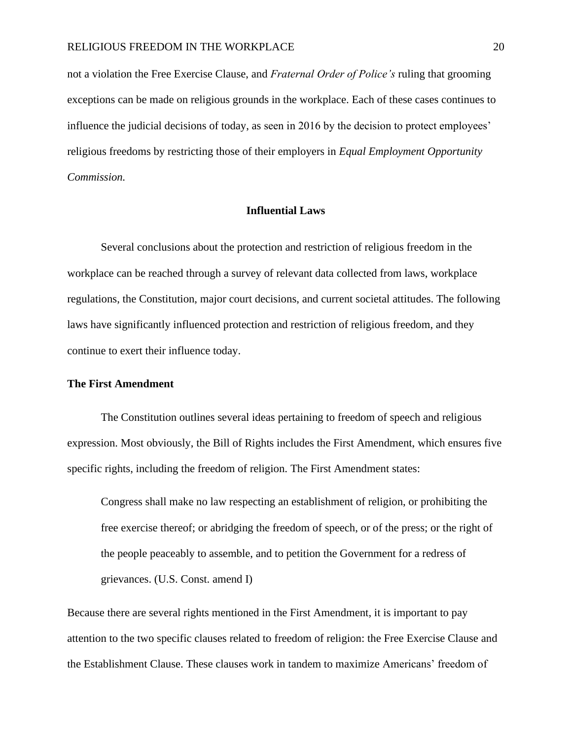not a violation the Free Exercise Clause, and *Fraternal Order of Police's* ruling that grooming exceptions can be made on religious grounds in the workplace. Each of these cases continues to influence the judicial decisions of today, as seen in 2016 by the decision to protect employees' religious freedoms by restricting those of their employers in *Equal Employment Opportunity Commission.* 

# **Influential Laws**

Several conclusions about the protection and restriction of religious freedom in the workplace can be reached through a survey of relevant data collected from laws, workplace regulations, the Constitution, major court decisions, and current societal attitudes. The following laws have significantly influenced protection and restriction of religious freedom, and they continue to exert their influence today.

#### **The First Amendment**

The Constitution outlines several ideas pertaining to freedom of speech and religious expression. Most obviously, the Bill of Rights includes the First Amendment, which ensures five specific rights, including the freedom of religion. The First Amendment states:

Congress shall make no law respecting an establishment of religion, or prohibiting the free exercise thereof; or abridging the freedom of speech, or of the press; or the right of the people peaceably to assemble, and to petition the Government for a redress of grievances. (U.S. Const. amend I)

Because there are several rights mentioned in the First Amendment, it is important to pay attention to the two specific clauses related to freedom of religion: the Free Exercise Clause and the Establishment Clause. These clauses work in tandem to maximize Americans' freedom of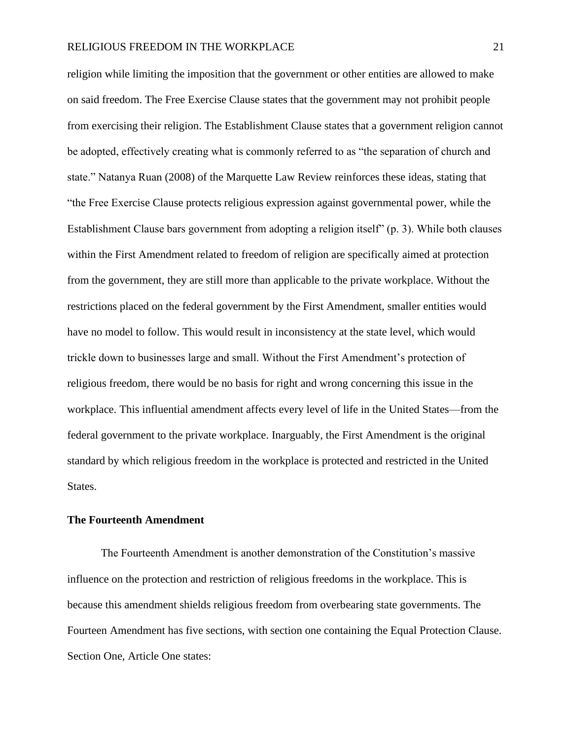religion while limiting the imposition that the government or other entities are allowed to make on said freedom. The Free Exercise Clause states that the government may not prohibit people from exercising their religion. The Establishment Clause states that a government religion cannot be adopted, effectively creating what is commonly referred to as "the separation of church and state." Natanya Ruan (2008) of the Marquette Law Review reinforces these ideas, stating that "the Free Exercise Clause protects religious expression against governmental power, while the Establishment Clause bars government from adopting a religion itself" (p. 3). While both clauses within the First Amendment related to freedom of religion are specifically aimed at protection from the government, they are still more than applicable to the private workplace. Without the restrictions placed on the federal government by the First Amendment, smaller entities would have no model to follow. This would result in inconsistency at the state level, which would trickle down to businesses large and small. Without the First Amendment's protection of religious freedom, there would be no basis for right and wrong concerning this issue in the workplace. This influential amendment affects every level of life in the United States—from the federal government to the private workplace. Inarguably, the First Amendment is the original standard by which religious freedom in the workplace is protected and restricted in the United States.

## **The Fourteenth Amendment**

The Fourteenth Amendment is another demonstration of the Constitution's massive influence on the protection and restriction of religious freedoms in the workplace. This is because this amendment shields religious freedom from overbearing state governments. The Fourteen Amendment has five sections, with section one containing the Equal Protection Clause. Section One, Article One states: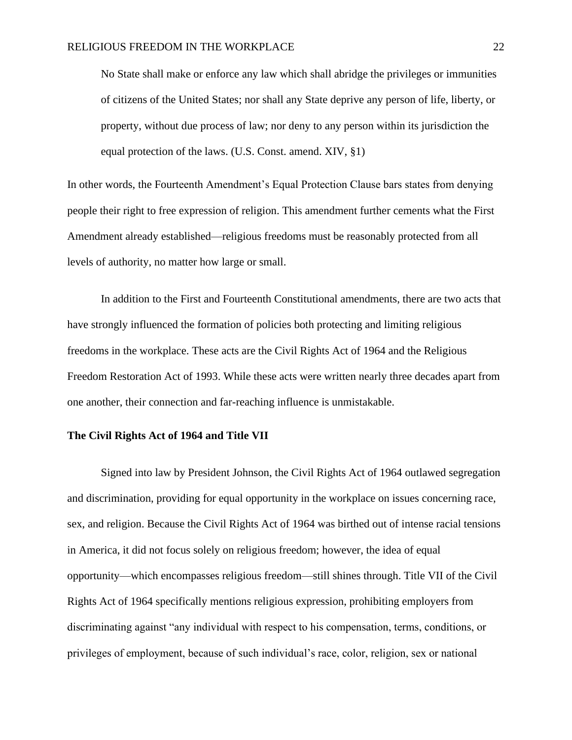No State shall make or enforce any law which shall abridge the privileges or immunities of citizens of the United States; nor shall any State deprive any person of life, liberty, or property, without due process of law; nor deny to any person within its jurisdiction the equal protection of the laws. (U.S. Const. amend. XIV, §1)

In other words, the Fourteenth Amendment's Equal Protection Clause bars states from denying people their right to free expression of religion. This amendment further cements what the First Amendment already established—religious freedoms must be reasonably protected from all levels of authority, no matter how large or small.

In addition to the First and Fourteenth Constitutional amendments, there are two acts that have strongly influenced the formation of policies both protecting and limiting religious freedoms in the workplace. These acts are the Civil Rights Act of 1964 and the Religious Freedom Restoration Act of 1993. While these acts were written nearly three decades apart from one another, their connection and far-reaching influence is unmistakable.

#### **The Civil Rights Act of 1964 and Title VII**

Signed into law by President Johnson, the Civil Rights Act of 1964 outlawed segregation and discrimination, providing for equal opportunity in the workplace on issues concerning race, sex, and religion. Because the Civil Rights Act of 1964 was birthed out of intense racial tensions in America, it did not focus solely on religious freedom; however, the idea of equal opportunity—which encompasses religious freedom—still shines through. Title VII of the Civil Rights Act of 1964 specifically mentions religious expression, prohibiting employers from discriminating against "any individual with respect to his compensation, terms, conditions, or privileges of employment, because of such individual's race, color, religion, sex or national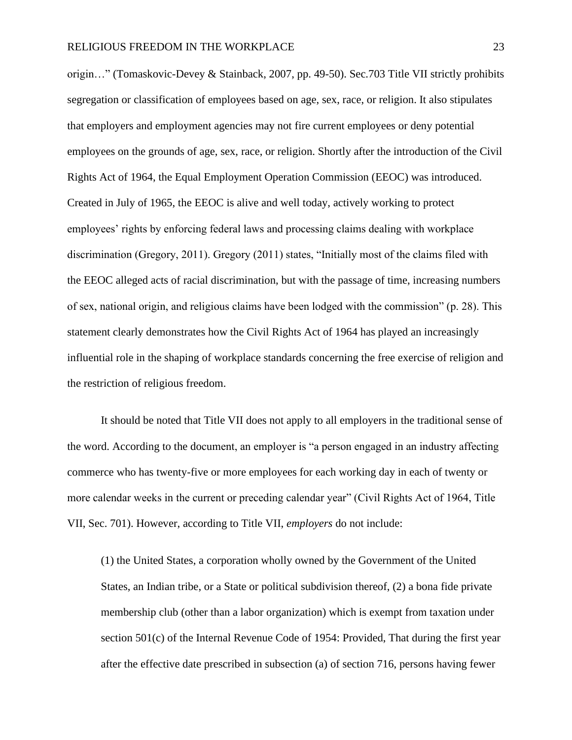origin…" (Tomaskovic-Devey & Stainback, 2007, pp. 49-50). Sec.703 Title VII strictly prohibits segregation or classification of employees based on age, sex, race, or religion. It also stipulates that employers and employment agencies may not fire current employees or deny potential employees on the grounds of age, sex, race, or religion. Shortly after the introduction of the Civil Rights Act of 1964, the Equal Employment Operation Commission (EEOC) was introduced. Created in July of 1965, the EEOC is alive and well today, actively working to protect employees' rights by enforcing federal laws and processing claims dealing with workplace discrimination (Gregory, 2011). Gregory (2011) states, "Initially most of the claims filed with the EEOC alleged acts of racial discrimination, but with the passage of time, increasing numbers of sex, national origin, and religious claims have been lodged with the commission" (p. 28). This statement clearly demonstrates how the Civil Rights Act of 1964 has played an increasingly influential role in the shaping of workplace standards concerning the free exercise of religion and the restriction of religious freedom.

It should be noted that Title VII does not apply to all employers in the traditional sense of the word. According to the document, an employer is "a person engaged in an industry affecting commerce who has twenty-five or more employees for each working day in each of twenty or more calendar weeks in the current or preceding calendar year" (Civil Rights Act of 1964, Title VII, Sec. 701). However, according to Title VII, *employers* do not include:

(1) the United States, a corporation wholly owned by the Government of the United States, an Indian tribe, or a State or political subdivision thereof, (2) a bona fide private membership club (other than a labor organization) which is exempt from taxation under section 501(c) of the Internal Revenue Code of 1954: Provided, That during the first year after the effective date prescribed in subsection (a) of section 716, persons having fewer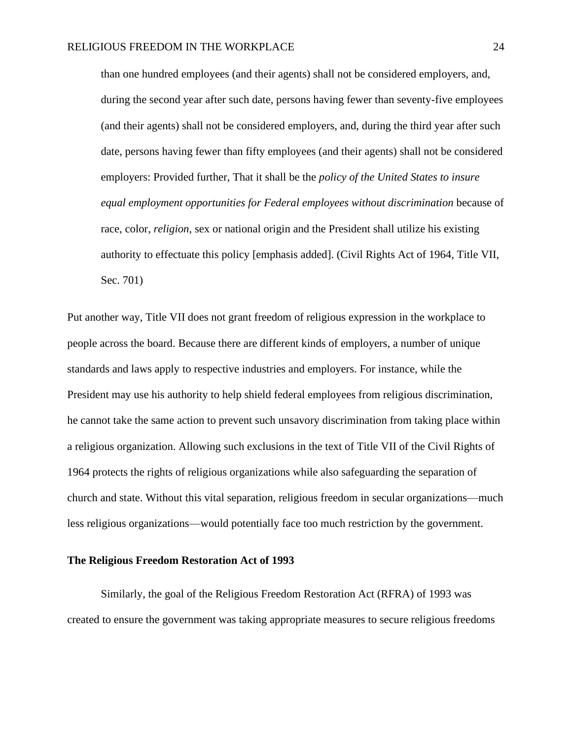than one hundred employees (and their agents) shall not be considered employers, and, during the second year after such date, persons having fewer than seventy-five employees (and their agents) shall not be considered employers, and, during the third year after such date, persons having fewer than fifty employees (and their agents) shall not be considered employers: Provided further, That it shall be the *policy of the United States to insure equal employment opportunities for Federal employees without discrimination* because of race, color, *religion*, sex or national origin and the President shall utilize his existing authority to effectuate this policy [emphasis added]. (Civil Rights Act of 1964, Title VII, Sec. 701)

Put another way, Title VII does not grant freedom of religious expression in the workplace to people across the board. Because there are different kinds of employers, a number of unique standards and laws apply to respective industries and employers. For instance, while the President may use his authority to help shield federal employees from religious discrimination, he cannot take the same action to prevent such unsavory discrimination from taking place within a religious organization. Allowing such exclusions in the text of Title VII of the Civil Rights of 1964 protects the rights of religious organizations while also safeguarding the separation of church and state. Without this vital separation, religious freedom in secular organizations—much less religious organizations—would potentially face too much restriction by the government.

### **The Religious Freedom Restoration Act of 1993**

Similarly, the goal of the Religious Freedom Restoration Act (RFRA) of 1993 was created to ensure the government was taking appropriate measures to secure religious freedoms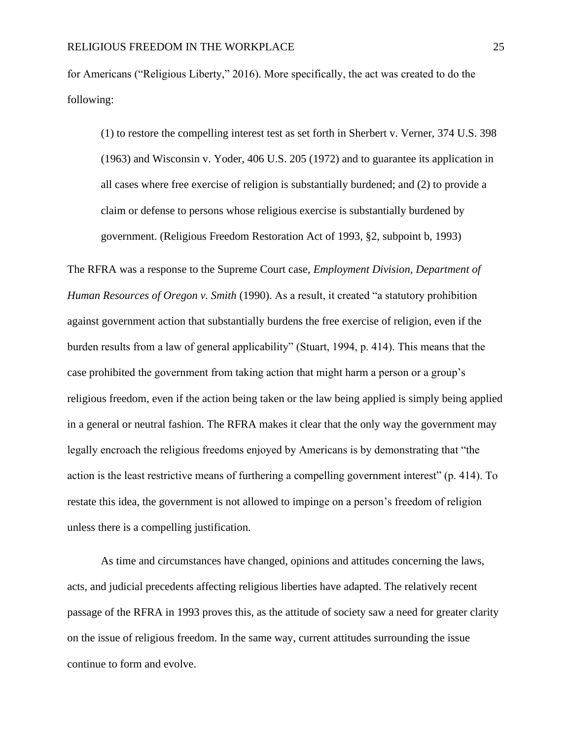for Americans ("Religious Liberty," 2016). More specifically, the act was created to do the following:

(1) to restore the compelling interest test as set forth in Sherbert v. Verner, 374 U.S. 398 (1963) and Wisconsin v. Yoder, 406 U.S. 205 (1972) and to guarantee its application in all cases where free exercise of religion is substantially burdened; and (2) to provide a claim or defense to persons whose religious exercise is substantially burdened by government. (Religious Freedom Restoration Act of 1993, §2, subpoint b, 1993)

The RFRA was a response to the Supreme Court case, *Employment Division, Department of Human Resources of Oregon v. Smith* (1990). As a result, it created "a statutory prohibition against government action that substantially burdens the free exercise of religion, even if the burden results from a law of general applicability" (Stuart, 1994, p. 414). This means that the case prohibited the government from taking action that might harm a person or a group's religious freedom, even if the action being taken or the law being applied is simply being applied in a general or neutral fashion. The RFRA makes it clear that the only way the government may legally encroach the religious freedoms enjoyed by Americans is by demonstrating that "the action is the least restrictive means of furthering a compelling government interest" (p. 414). To restate this idea, the government is not allowed to impinge on a person's freedom of religion unless there is a compelling justification.

As time and circumstances have changed, opinions and attitudes concerning the laws, acts, and judicial precedents affecting religious liberties have adapted. The relatively recent passage of the RFRA in 1993 proves this, as the attitude of society saw a need for greater clarity on the issue of religious freedom. In the same way, current attitudes surrounding the issue continue to form and evolve.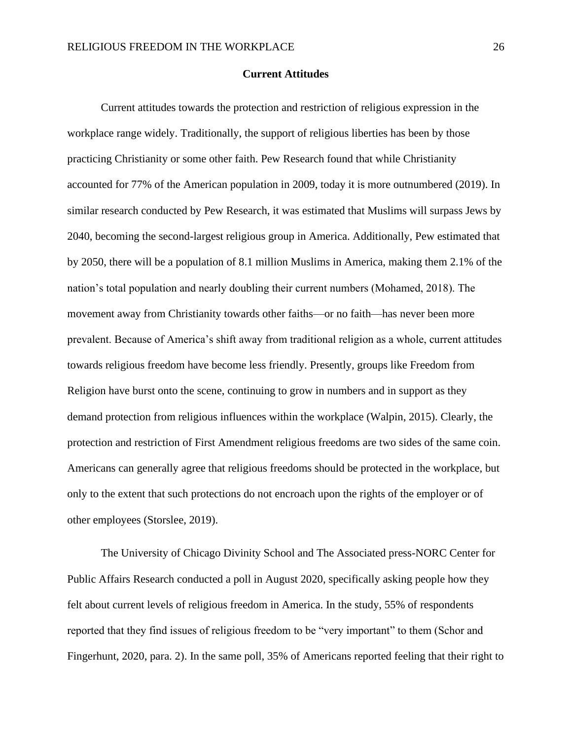#### **Current Attitudes**

Current attitudes towards the protection and restriction of religious expression in the workplace range widely. Traditionally, the support of religious liberties has been by those practicing Christianity or some other faith. Pew Research found that while Christianity accounted for 77% of the American population in 2009, today it is more outnumbered (2019). In similar research conducted by Pew Research, it was estimated that Muslims will surpass Jews by 2040, becoming the second-largest religious group in America. Additionally, Pew estimated that by 2050, there will be a population of [8.1 million](about:blank) Muslims in America, making them 2.1% of the nation's total population and nearly doubling their current numbers (Mohamed, 2018). The movement away from Christianity towards other faiths—or no faith—has never been more prevalent. Because of America's shift away from traditional religion as a whole, current attitudes towards religious freedom have become less friendly. Presently, groups like Freedom from Religion have burst onto the scene, continuing to grow in numbers and in support as they demand protection from religious influences within the workplace (Walpin, 2015). Clearly, the protection and restriction of First Amendment religious freedoms are two sides of the same coin. Americans can generally agree that religious freedoms should be protected in the workplace, but only to the extent that such protections do not encroach upon the rights of the employer or of other employees (Storslee, 2019).

The University of Chicago Divinity School and The Associated press-NORC Center for Public Affairs Research conducted a poll in August 2020, specifically asking people how they felt about current levels of religious freedom in America. In the study, 55% of respondents reported that they find issues of religious freedom to be "very important" to them (Schor and Fingerhunt, 2020, para. 2). In the same poll, 35% of Americans reported feeling that their right to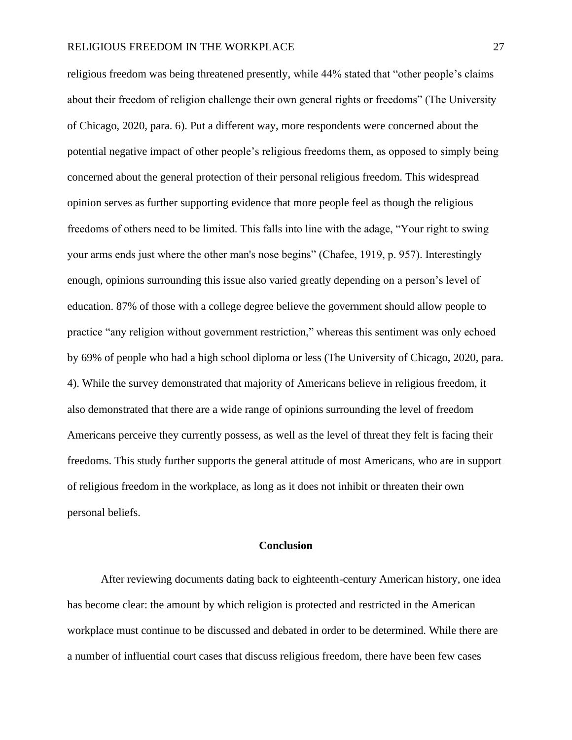religious freedom was being threatened presently, while 44% stated that "other people's claims about their freedom of religion challenge their own general rights or freedoms" (The University of Chicago, 2020, para. 6). Put a different way, more respondents were concerned about the potential negative impact of other people's religious freedoms them, as opposed to simply being concerned about the general protection of their personal religious freedom. This widespread opinion serves as further supporting evidence that more people feel as though the religious freedoms of others need to be limited. This falls into line with the adage, "Your right to swing your arms ends just where the other man's nose begins" (Chafee, 1919, p. 957). Interestingly enough, opinions surrounding this issue also varied greatly depending on a person's level of education. 87% of those with a college degree believe the government should allow people to practice "any religion without government restriction," whereas this sentiment was only echoed by 69% of people who had a high school diploma or less (The University of Chicago, 2020, para. 4). While the survey demonstrated that majority of Americans believe in religious freedom, it also demonstrated that there are a wide range of opinions surrounding the level of freedom Americans perceive they currently possess, as well as the level of threat they felt is facing their freedoms. This study further supports the general attitude of most Americans, who are in support of religious freedom in the workplace, as long as it does not inhibit or threaten their own personal beliefs.

### **Conclusion**

After reviewing documents dating back to eighteenth-century American history, one idea has become clear: the amount by which religion is protected and restricted in the American workplace must continue to be discussed and debated in order to be determined. While there are a number of influential court cases that discuss religious freedom, there have been few cases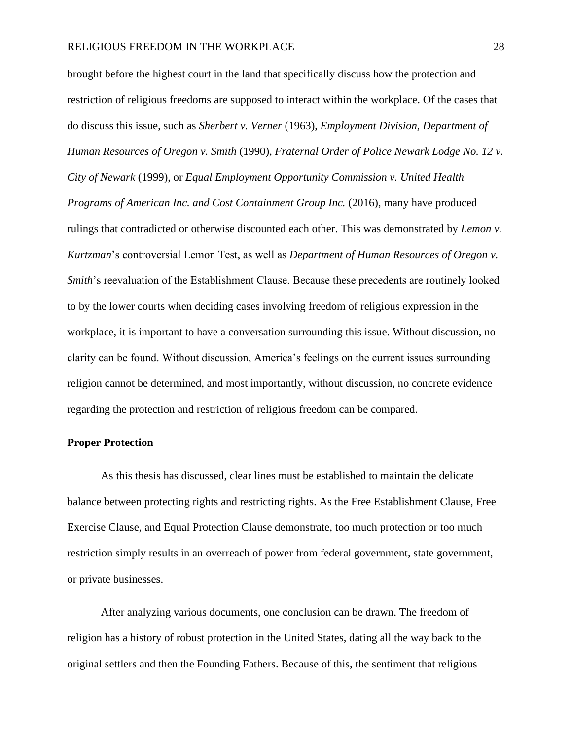brought before the highest court in the land that specifically discuss how the protection and restriction of religious freedoms are supposed to interact within the workplace. Of the cases that do discuss this issue, such as *Sherbert v. Verner* (1963), *Employment Division, Department of Human Resources of Oregon v. Smith* (1990), *Fraternal Order of Police Newark Lodge No. 12 v. City of Newark* (1999), or *Equal Employment Opportunity Commission v. United Health Programs of American Inc. and Cost Containment Group Inc.* (2016), many have produced rulings that contradicted or otherwise discounted each other. This was demonstrated by *Lemon v. Kurtzman*'s controversial Lemon Test, as well as *Department of Human Resources of Oregon v. Smith*'s reevaluation of the Establishment Clause. Because these precedents are routinely looked to by the lower courts when deciding cases involving freedom of religious expression in the workplace, it is important to have a conversation surrounding this issue. Without discussion, no clarity can be found. Without discussion, America's feelings on the current issues surrounding religion cannot be determined, and most importantly, without discussion, no concrete evidence regarding the protection and restriction of religious freedom can be compared.

### **Proper Protection**

As this thesis has discussed, clear lines must be established to maintain the delicate balance between protecting rights and restricting rights. As the Free Establishment Clause, Free Exercise Clause, and Equal Protection Clause demonstrate, too much protection or too much restriction simply results in an overreach of power from federal government, state government, or private businesses.

After analyzing various documents, one conclusion can be drawn. The freedom of religion has a history of robust protection in the United States, dating all the way back to the original settlers and then the Founding Fathers. Because of this, the sentiment that religious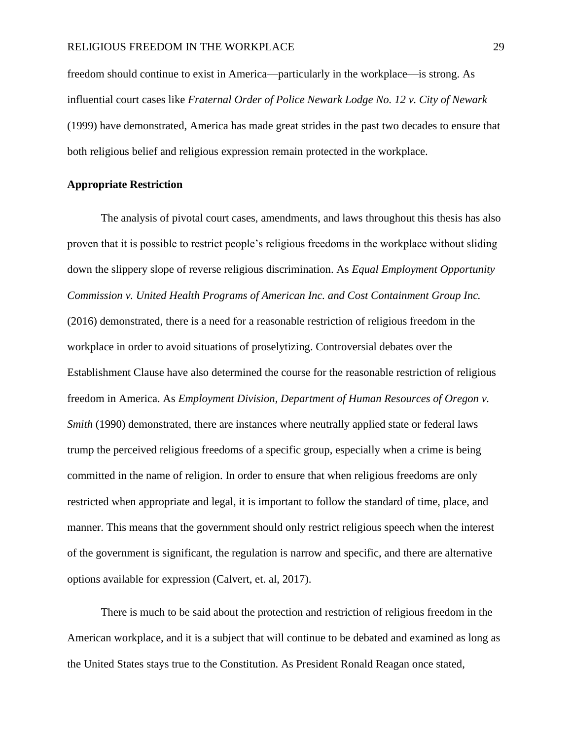freedom should continue to exist in America—particularly in the workplace—is strong. As influential court cases like *Fraternal Order of Police Newark Lodge No. 12 v. City of Newark*  (1999) have demonstrated, America has made great strides in the past two decades to ensure that both religious belief and religious expression remain protected in the workplace.

### **Appropriate Restriction**

The analysis of pivotal court cases, amendments, and laws throughout this thesis has also proven that it is possible to restrict people's religious freedoms in the workplace without sliding down the slippery slope of reverse religious discrimination. As *Equal Employment Opportunity Commission v. United Health Programs of American Inc. and Cost Containment Group Inc.* (2016) demonstrated, there is a need for a reasonable restriction of religious freedom in the workplace in order to avoid situations of proselytizing. Controversial debates over the Establishment Clause have also determined the course for the reasonable restriction of religious freedom in America. As *Employment Division, Department of Human Resources of Oregon v. Smith* (1990) demonstrated, there are instances where neutrally applied state or federal laws trump the perceived religious freedoms of a specific group, especially when a crime is being committed in the name of religion. In order to ensure that when religious freedoms are only restricted when appropriate and legal, it is important to follow the standard of time, place, and manner. This means that the government should only restrict religious speech when the interest of the government is significant, the regulation is narrow and specific, and there are alternative options available for expression (Calvert, et. al, 2017).

There is much to be said about the protection and restriction of religious freedom in the American workplace, and it is a subject that will continue to be debated and examined as long as the United States stays true to the Constitution. As President Ronald Reagan once stated,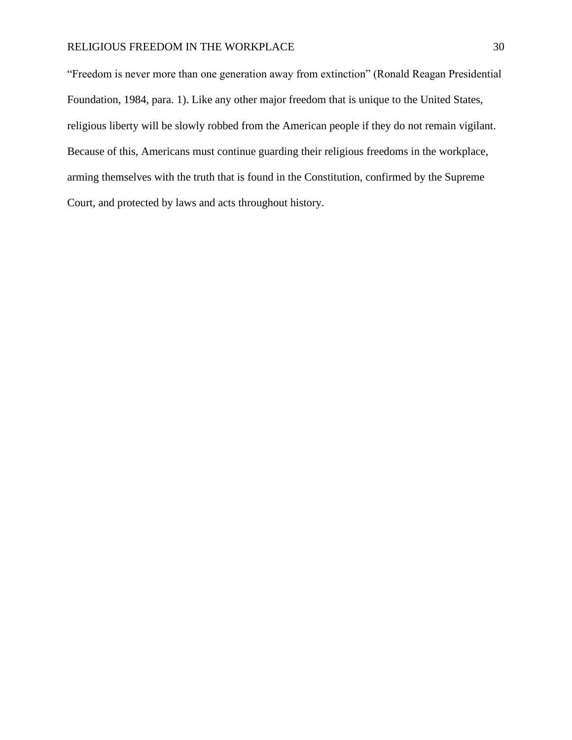"Freedom is never more than one generation away from extinction" (Ronald Reagan Presidential Foundation, 1984, para. 1). Like any other major freedom that is unique to the United States, religious liberty will be slowly robbed from the American people if they do not remain vigilant. Because of this, Americans must continue guarding their religious freedoms in the workplace, arming themselves with the truth that is found in the Constitution, confirmed by the Supreme Court, and protected by laws and acts throughout history.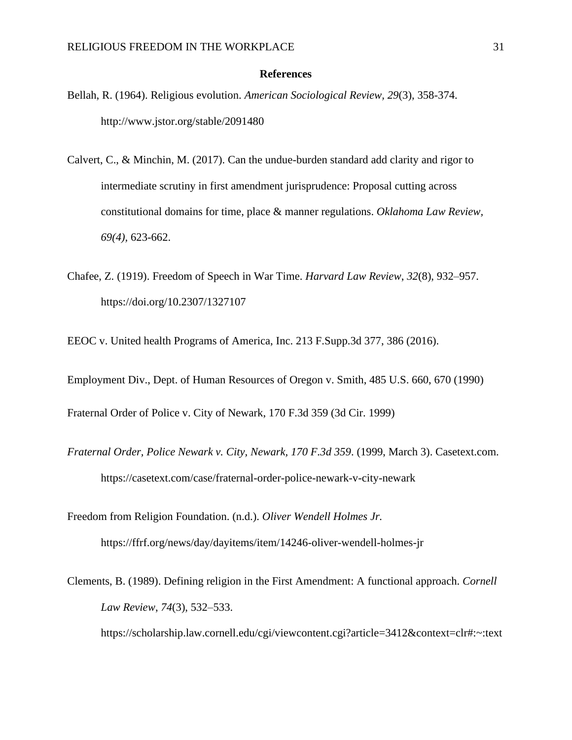#### **References**

- Bellah, R. (1964). Religious evolution. *American Sociological Review, 29*(3), 358-374. http://www.jstor.org/stable/2091480
- Calvert, C., & Minchin, M. (2017). Can the undue-burden standard add clarity and rigor to intermediate scrutiny in first amendment jurisprudence: Proposal cutting across constitutional domains for time, place & manner regulations. *Oklahoma Law Review, 69(4),* 623-662.
- Chafee, Z. (1919). Freedom of Speech in War Time. *Harvard Law Review*, *32*(8), 932–957. https://doi.org/10.2307/1327107
- EEOC v. United health Programs of America, Inc. 213 F.Supp.3d 377, 386 (2016).
- Employment Div., Dept. of Human Resources of Oregon v. Smith, 485 U.S. 660, 670 (1990)

Fraternal Order of Police v. City of Newark, 170 F.3d 359 (3d Cir. 1999)

- *Fraternal Order, Police Newark v. City, Newark, 170 F.3d 359*. (1999, March 3). Casetext.com. https://casetext.com/case/fraternal-order-police-newark-v-city-newark
- Freedom from Religion Foundation. (n.d.). *Oliver Wendell Holmes Jr.* https://ffrf.org/news/day/dayitems/item/14246-oliver-wendell-holmes-jr
- Clements, B. (1989). Defining religion in the First Amendment: A functional approach. *Cornell Law Review*, *74*(3), 532–533. https://scholarship.law.cornell.edu/cgi/viewcontent.cgi?article=3412&context=clr#:~:text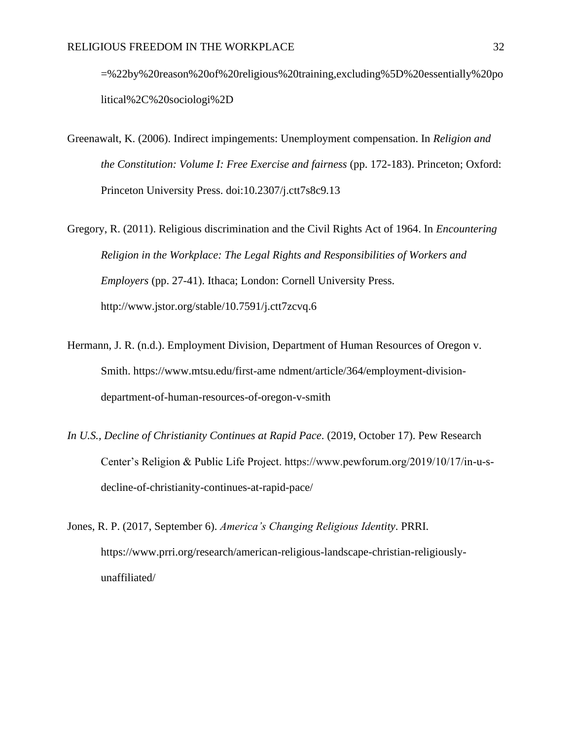=%22by%20reason%20of%20religious%20training,excluding%5D%20essentially%20po litical%2C%20sociologi%2D

- Greenawalt, K. (2006). Indirect impingements: Unemployment compensation. In *Religion and the Constitution: Volume I: Free Exercise and fairness* (pp. 172-183). Princeton; Oxford: Princeton University Press. doi:10.2307/j.ctt7s8c9.13
- Gregory, R. (2011). Religious discrimination and the Civil Rights Act of 1964. In *Encountering Religion in the Workplace: The Legal Rights and Responsibilities of Workers and Employers* (pp. 27-41). Ithaca; London: Cornell University Press. http://www.jstor.org/stable/10.7591/j.ctt7zcvq.6
- Hermann, J. R. (n.d.). Employment Division, Department of Human Resources of Oregon v. Smith. https://www.mtsu.edu/first-ame ndment/article/364/employment-divisiondepartment-of-human-resources-of-oregon-v-smith
- *In U.S., Decline of Christianity Continues at Rapid Pace*. (2019, October 17). Pew Research Center's Religion & Public Life Project. https://www.pewforum.org/2019/10/17/in-u-sdecline-of-christianity-continues-at-rapid-pace/
- Jones, R. P. (2017, September 6). *America's Changing Religious Identity*. PRRI. https://www.prri.org/research/american-religious-landscape-christian-religiouslyunaffiliated/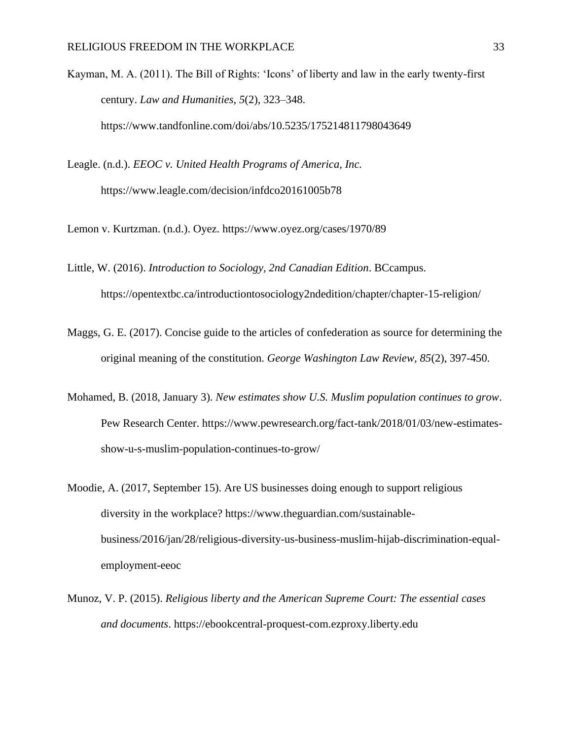- Kayman, M. A. (2011). The Bill of Rights: 'Icons' of liberty and law in the early twenty-first century. *Law and Humanities*, *5*(2), 323–348. https://www.tandfonline.com/doi/abs/10.5235/175214811798043649
- Leagle. (n.d.). *EEOC v. United Health Programs of America, Inc.*  https://www.leagle.com/decision/infdco20161005b78
- Lemon v. Kurtzman. (n.d.). Oyez. [https://www.oyez.org/cases/1970/89](about:blank)
- Little, W. (2016). *Introduction to Sociology, 2nd Canadian Edition*. BCcampus. https://opentextbc.ca/introductiontosociology2ndedition/chapter/chapter-15-religion/
- Maggs, G. E. (2017). Concise guide to the articles of confederation as source for determining the original meaning of the constitution. *George Washington Law Review, 85*(2), 397-450.
- Mohamed, B. (2018, January 3). *New estimates show U.S. Muslim population continues to grow*. Pew Research Center. https://www.pewresearch.org/fact-tank/2018/01/03/new-estimatesshow-u-s-muslim-population-continues-to-grow/
- Moodie, A. (2017, September 15). Are US businesses doing enough to support religious diversity in the workplace? https://www.theguardian.com/sustainablebusiness/2016/jan/28/religious-diversity-us-business-muslim-hijab-discrimination-equalemployment-eeoc
- Munoz, V. P. (2015). *Religious liberty and the American Supreme Court: The essential cases and documents*. https://ebookcentral-proquest-com.ezproxy.liberty.edu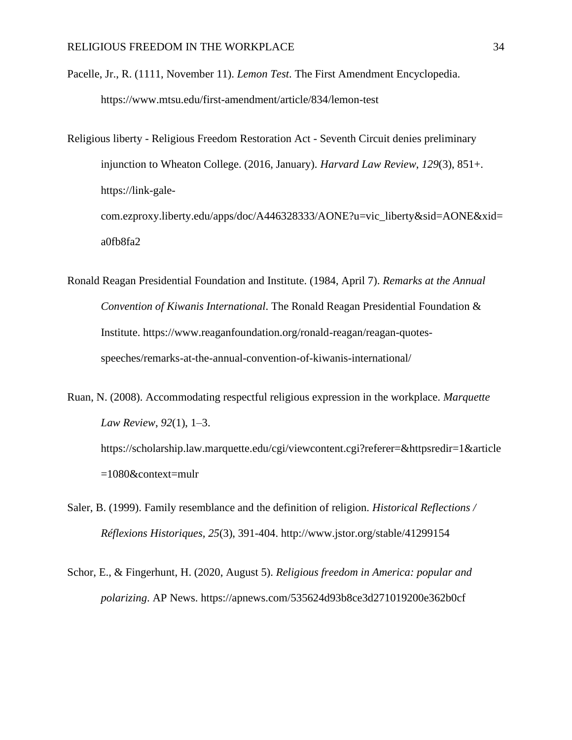- Pacelle, Jr., R. (1111, November 11). *Lemon Test*. The First Amendment Encyclopedia. https://www.mtsu.edu/first-amendment/article/834/lemon-test
- Religious liberty Religious Freedom Restoration Act Seventh Circuit denies preliminary injunction to Wheaton College. (2016, January). *Harvard Law Review*, *129*(3), 851+. https://link-galecom.ezproxy.liberty.edu/apps/doc/A446328333/AONE?u=vic\_liberty&sid=AONE&xid= a0fb8fa2
- Ronald Reagan Presidential Foundation and Institute. (1984, April 7). *Remarks at the Annual Convention of Kiwanis International*. The Ronald Reagan Presidential Foundation & Institute. https://www.reaganfoundation.org/ronald-reagan/reagan-quotesspeeches/remarks-at-the-annual-convention-of-kiwanis-international/
- Ruan, N. (2008). Accommodating respectful religious expression in the workplace. *Marquette Law Review*, *92*(1), 1–3. https://scholarship.law.marquette.edu/cgi/viewcontent.cgi?referer=&httpsredir=1&article =1080&context=mulr
- Saler, B. (1999). Family resemblance and the definition of religion. *Historical Reflections / Réflexions Historiques, 25*(3), 391-404. http://www.jstor.org/stable/41299154
- Schor, E., & Fingerhunt, H. (2020, August 5). *Religious freedom in America: popular and polarizing*. AP News. https://apnews.com/535624d93b8ce3d271019200e362b0cf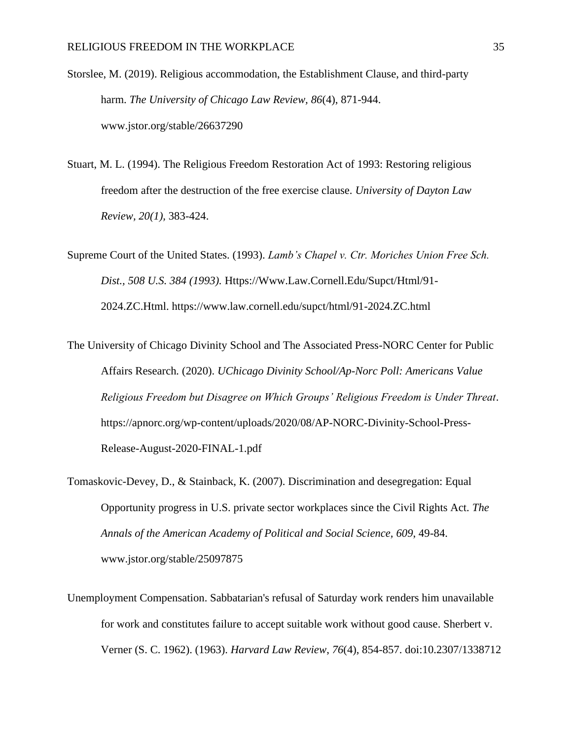Storslee, M. (2019). Religious accommodation, the Establishment Clause, and third-party harm. *The University of Chicago Law Review, 86*(4), 871-944. www.jstor.org/stable/26637290

Stuart, M. L. (1994). The Religious Freedom Restoration Act of 1993: Restoring religious freedom after the destruction of the free exercise clause. *University of Dayton Law Review, 20(1),* 383-424.

Supreme Court of the United States. (1993). *Lamb's Chapel v. Ctr. Moriches Union Free Sch. Dist., 508 U.S. 384 (1993).* Https://Www.Law.Cornell.Edu/Supct/Html/91- 2024.ZC.Html. https://www.law.cornell.edu/supct/html/91-2024.ZC.html

The University of Chicago Divinity School and The Associated Press-NORC Center for Public Affairs Research*.* (2020). *UChicago Divinity School/Ap-Norc Poll: Americans Value Religious Freedom but Disagree on Which Groups' Religious Freedom is Under Threat*. https://apnorc.org/wp-content/uploads/2020/08/AP-NORC-Divinity-School-Press-Release-August-2020-FINAL-1.pdf

- Tomaskovic-Devey, D., & Stainback, K. (2007). Discrimination and desegregation: Equal Opportunity progress in U.S. private sector workplaces since the Civil Rights Act. *The Annals of the American Academy of Political and Social Science, 609*, 49-84. www.jstor.org/stable/25097875
- Unemployment Compensation. Sabbatarian's refusal of Saturday work renders him unavailable for work and constitutes failure to accept suitable work without good cause. Sherbert v. Verner (S. C. 1962). (1963). *Harvard Law Review*, *76*(4), 854-857. doi:10.2307/1338712